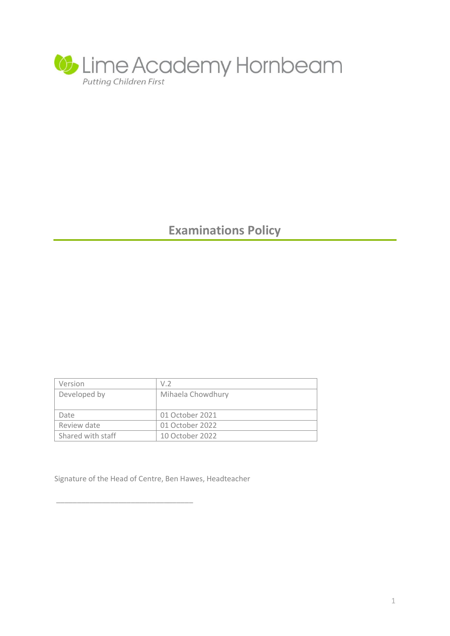

# **Examinations Policy**

| Version           | V.2               |
|-------------------|-------------------|
| Developed by      | Mihaela Chowdhury |
|                   |                   |
| Date              | 01 October 2021   |
| Review date       | 01 October 2022   |
| Shared with staff | 10 October 2022   |

Signature of the Head of Centre, Ben Hawes, Headteacher

\_\_\_\_\_\_\_\_\_\_\_\_\_\_\_\_\_\_\_\_\_\_\_\_\_\_\_\_\_\_\_\_\_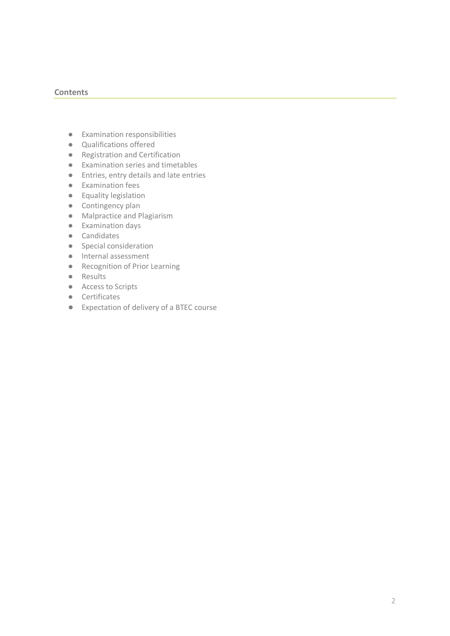#### **Contents**

- Examination responsibilities
- Qualifications offered
- Registration and Certification
- Examination series and timetables
- Entries, entry details and late entries
- Examination fees
- Equality legislation
- Contingency plan
- Malpractice and Plagiarism
- Examination days
- Candidates
- Special consideration
- Internal assessment
- Recognition of Prior Learning
- Results
- Access to Scripts
- Certificates
- Expectation of delivery of a BTEC course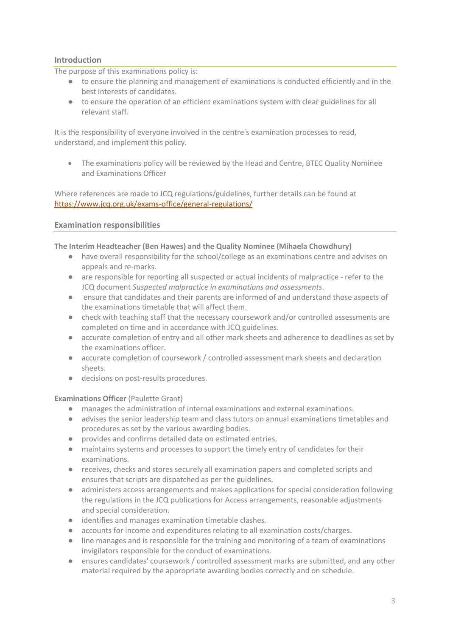# **Introduction**

The purpose of this examinations policy is:

- to ensure the planning and management of examinations is conducted efficiently and in the best interests of candidates.
- to ensure the operation of an efficient examinations system with clear guidelines for all relevant staff.

It is the responsibility of everyone involved in the centre's examination processes to read, understand, and implement this policy.

 The examinations policy will be reviewed by the Head and Centre, BTEC Quality Nominee and Examinations Officer

Where references are made to JCQ regulations/guidelines, further details can be found at <https://www.jcq.org.uk/exams-office/general-regulations/>

#### **Examination responsibilities**

#### **The Interim Headteacher (Ben Hawes) and the Quality Nominee (Mihaela Chowdhury)**

- have overall responsibility for the school/college as an examinations centre and advises on appeals and re-marks.
- are responsible for reporting all suspected or actual incidents of malpractice refer to the JCQ document *Suspected malpractice in examinations and assessments*.
- ensure that candidates and their parents are informed of and understand those aspects of the examinations timetable that will affect them.
- check with teaching staff that the necessary coursework and/or controlled assessments are completed on time and in accordance with JCQ guidelines.
- accurate completion of entry and all other mark sheets and adherence to deadlines as set by the examinations officer.
- accurate completion of coursework / controlled assessment mark sheets and declaration sheets.
- decisions on post-results procedures.

#### **Examinations Officer** (Paulette Grant)

- manages the administration of internal examinations and external examinations.
- advises the senior leadership team and class tutors on annual examinations timetables and procedures as set by the various awarding bodies.
- provides and confirms detailed data on estimated entries.
- maintains systems and processes to support the timely entry of candidates for their examinations.
- receives, checks and stores securely all examination papers and completed scripts and ensures that scripts are dispatched as per the guidelines.
- administers access arrangements and makes applications for special consideration following the regulations in the JCQ publications for Access arrangements, reasonable adjustments and special consideration.
- identifies and manages examination timetable clashes.
- accounts for income and expenditures relating to all examination costs/charges.
- line manages and is responsible for the training and monitoring of a team of examinations invigilators responsible for the conduct of examinations.
- ensures candidates' coursework / controlled assessment marks are submitted, and any other material required by the appropriate awarding bodies correctly and on schedule.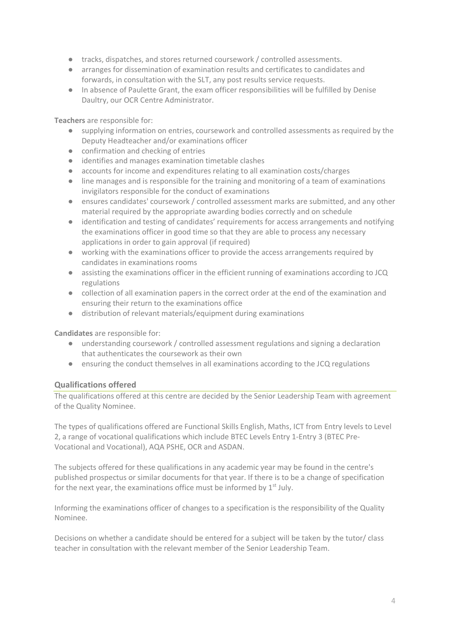- tracks, dispatches, and stores returned coursework / controlled assessments.
- arranges for dissemination of examination results and certificates to candidates and forwards, in consultation with the SLT, any post results service requests.
- In absence of Paulette Grant, the exam officer responsibilities will be fulfilled by Denise Daultry, our OCR Centre Administrator.

**Teachers** are responsible for:

- supplying information on entries, coursework and controlled assessments as required by the Deputy Headteacher and/or examinations officer
- confirmation and checking of entries
- identifies and manages examination timetable clashes
- accounts for income and expenditures relating to all examination costs/charges
- line manages and is responsible for the training and monitoring of a team of examinations invigilators responsible for the conduct of examinations
- ensures candidates' coursework / controlled assessment marks are submitted, and any other material required by the appropriate awarding bodies correctly and on schedule
- identification and testing of candidates' requirements for access arrangements and notifying the examinations officer in good time so that they are able to process any necessary applications in order to gain approval (if required)
- working with the examinations officer to provide the access arrangements required by candidates in examinations rooms
- assisting the examinations officer in the efficient running of examinations according to JCQ regulations
- collection of all examination papers in the correct order at the end of the examination and ensuring their return to the examinations office
- distribution of relevant materials/equipment during examinations

**Candidates** are responsible for:

- understanding coursework / controlled assessment regulations and signing a declaration that authenticates the coursework as their own
- ensuring the conduct themselves in all examinations according to the JCQ regulations

### **Qualifications offered**

The qualifications offered at this centre are decided by the Senior Leadership Team with agreement of the Quality Nominee.

The types of qualifications offered are Functional Skills English, Maths, ICT from Entry levels to Level 2, a range of vocational qualifications which include BTEC Levels Entry 1-Entry 3 (BTEC Pre-Vocational and Vocational), AQA PSHE, OCR and ASDAN.

The subjects offered for these qualifications in any academic year may be found in the centre's published prospectus or similar documents for that year. If there is to be a change of specification for the next year, the examinations office must be informed by  $1<sup>st</sup>$  July.

Informing the examinations officer of changes to a specification is the responsibility of the Quality Nominee.

Decisions on whether a candidate should be entered for a subject will be taken by the tutor/ class teacher in consultation with the relevant member of the Senior Leadership Team.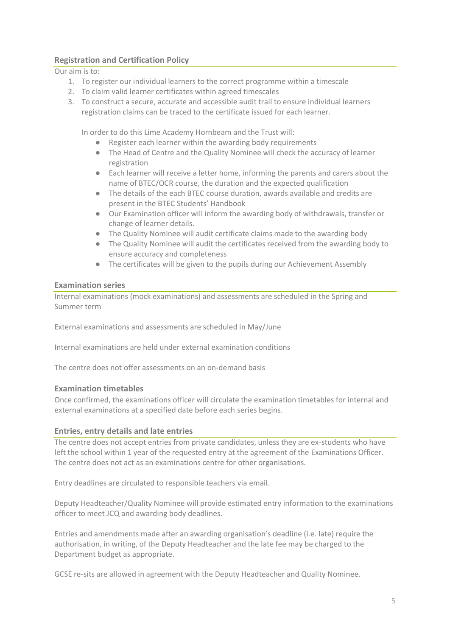# **Registration and Certification Policy**

Our aim is to:

- 1. To register our individual learners to the correct programme within a timescale
- 2. To claim valid learner certificates within agreed timescales
- 3. To construct a secure, accurate and accessible audit trail to ensure individual learners registration claims can be traced to the certificate issued for each learner.

In order to do this Lime Academy Hornbeam and the Trust will:

- Register each learner within the awarding body requirements
- The Head of Centre and the Quality Nominee will check the accuracy of learner registration
- Each learner will receive a letter home, informing the parents and carers about the name of BTEC/OCR course, the duration and the expected qualification
- The details of the each BTEC course duration, awards available and credits are present in the BTEC Students' Handbook
- Our Examination officer will inform the awarding body of withdrawals, transfer or change of learner details.
- The Quality Nominee will audit certificate claims made to the awarding body
- The Quality Nominee will audit the certificates received from the awarding body to ensure accuracy and completeness
- The certificates will be given to the pupils during our Achievement Assembly

### **Examination series**

Internal examinations (mock examinations) and assessments are scheduled in the Spring and Summer term

External examinations and assessments are scheduled in May/June

Internal examinations are held under external examination conditions

The centre does not offer assessments on an on-demand basis

### **Examination timetables**

Once confirmed, the examinations officer will circulate the examination timetables for internal and external examinations at a specified date before each series begins.

### **Entries, entry details and late entries**

The centre does not accept entries from private candidates, unless they are ex-students who have left the school within 1 year of the requested entry at the agreement of the Examinations Officer. The centre does not act as an examinations centre for other organisations.

Entry deadlines are circulated to responsible teachers via email*.*

Deputy Headteacher/Quality Nominee will provide estimated entry information to the examinations officer to meet JCQ and awarding body deadlines.

Entries and amendments made after an awarding organisation's deadline (i.e. late) require the authorisation, in writing, of the Deputy Headteacher and the late fee may be charged to the Department budget as appropriate.

GCSE re-sits are allowed in agreement with the Deputy Headteacher and Quality Nominee.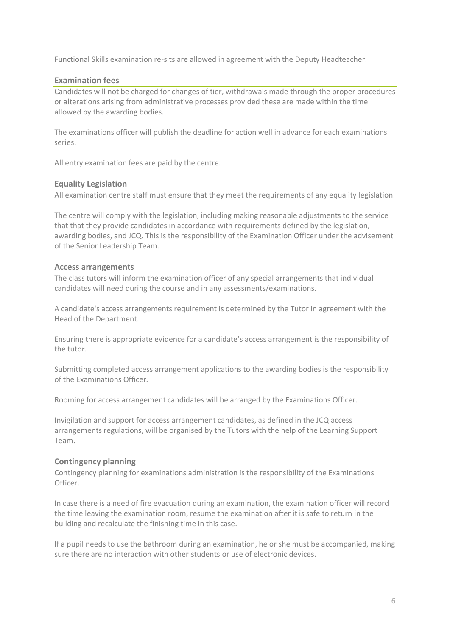Functional Skills examination re-sits are allowed in agreement with the Deputy Headteacher.

#### **Examination fees**

Candidates will not be charged for changes of tier, withdrawals made through the proper procedures or alterations arising from administrative processes provided these are made within the time allowed by the awarding bodies.

The examinations officer will publish the deadline for action well in advance for each examinations series.

All entry examination fees are paid by the centre.

#### **Equality Legislation**

All examination centre staff must ensure that they meet the requirements of any equality legislation.

The centre will comply with the legislation, including making reasonable adjustments to the service that that they provide candidates in accordance with requirements defined by the legislation, awarding bodies, and JCQ. This is the responsibility of the Examination Officer under the advisement of the Senior Leadership Team.

#### **Access arrangements**

The class tutors will inform the examination officer of any special arrangements that individual candidates will need during the course and in any assessments/examinations.

A candidate's access arrangements requirement is determined by the Tutor in agreement with the Head of the Department.

Ensuring there is appropriate evidence for a candidate's access arrangement is the responsibility of the tutor.

Submitting completed access arrangement applications to the awarding bodies is the responsibility of the Examinations Officer*.*

Rooming for access arrangement candidates will be arranged by the Examinations Officer.

Invigilation and support for access arrangement candidates, as defined in the JCQ access arrangements regulations, will be organised by the Tutors with the help of the Learning Support Team.

#### **Contingency planning**

Contingency planning for examinations administration is the responsibility of the Examinations Officer.

In case there is a need of fire evacuation during an examination, the examination officer will record the time leaving the examination room, resume the examination after it is safe to return in the building and recalculate the finishing time in this case.

If a pupil needs to use the bathroom during an examination, he or she must be accompanied, making sure there are no interaction with other students or use of electronic devices.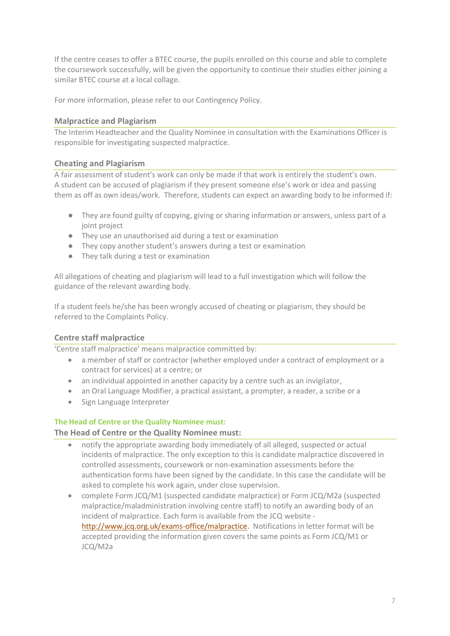If the centre ceases to offer a BTEC course, the pupils enrolled on this course and able to complete the coursework successfully, will be given the opportunity to continue their studies either joining a similar BTEC course at a local collage.

For more information, please refer to our Contingency Policy.

# **Malpractice and Plagiarism**

The Interim Headteacher and the Quality Nominee in consultation with the Examinations Officer is responsible for investigating suspected malpractice.

### **Cheating and Plagiarism**

A fair assessment of student's work can only be made if that work is entirely the student's own. A student can be accused of plagiarism if they present someone else's work or idea and passing them as off as own ideas/work. Therefore, students can expect an awarding body to be informed if:

- They are found guilty of copying, giving or sharing information or answers, unless part of a joint project
- They use an unauthorised aid during a test or examination
- They copy another student's answers during a test or examination
- They talk during a test or examination

All allegations of cheating and plagiarism will lead to a full investigation which will follow the guidance of the relevant awarding body.

If a student feels he/she has been wrongly accused of cheating or plagiarism, they should be referred to the Complaints Policy.

# **Centre staff malpractice**

'Centre staff malpractice' means malpractice committed by:

- a member of staff or contractor (whether employed under a contract of employment or a contract for services) at a centre; or
- an individual appointed in another capacity by a centre such as an invigilator,
- an Oral Language Modifier, a practical assistant, a prompter, a reader, a scribe or a
- Sign Language Interpreter

### **The Head of Centre or the Quality Nominee must:**

**The Head of Centre or the Quality Nominee must:**

- notify the appropriate awarding body immediately of all alleged, suspected or actual incidents of malpractice. The only exception to this is candidate malpractice discovered in controlled assessments, coursework or non-examination assessments before the authentication forms have been signed by the candidate. In this case the candidate will be asked to complete his work again, under close supervision.
- complete Form JCQ/M1 (suspected candidate malpractice) or Form JCQ/M2a (suspected malpractice/maladministration involving centre staff) to notify an awarding body of an incident of malpractice. Each form is available from the JCQ website [http://www.jcq.org.uk/exams-office/malpractice.](http://www.jcq.org.uk/exams-office/malpractice) Notifications in letter format will be accepted providing the information given covers the same points as Form JCQ/M1 or JCQ/M2a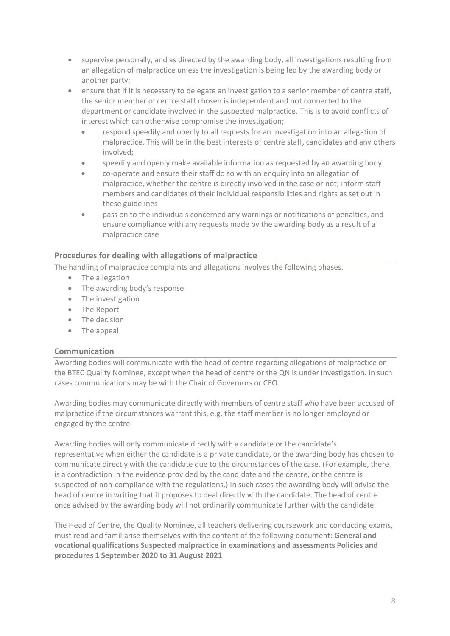- supervise personally, and as directed by the awarding body, all investigations resulting from an allegation of malpractice unless the investigation is being led by the awarding body or another party;
- ensure that if it is necessary to delegate an investigation to a senior member of centre staff, the senior member of centre staff chosen is independent and not connected to the department or candidate involved in the suspected malpractice. This is to avoid conflicts of interest which can otherwise compromise the investigation;
	- respond speedily and openly to all requests for an investigation into an allegation of malpractice. This will be in the best interests of centre staff, candidates and any others involved;
	- speedily and openly make available information as requested by an awarding body
	- co-operate and ensure their staff do so with an enquiry into an allegation of malpractice, whether the centre is directly involved in the case or not; inform staff members and candidates of their individual responsibilities and rights as set out in these guidelines
	- pass on to the individuals concerned any warnings or notifications of penalties, and ensure compliance with any requests made by the awarding body as a result of a malpractice case

# **Procedures for dealing with allegations of malpractice**

The handling of malpractice complaints and allegations involves the following phases.

- The allegation
- The awarding body's response
- The investigation
- The Report
- The decision
- The appeal

### **Communication**

Awarding bodies will communicate with the head of centre regarding allegations of malpractice or the BTEC Quality Nominee, except when the head of centre or the QN is under investigation. In such cases communications may be with the Chair of Governors or CEO.

Awarding bodies may communicate directly with members of centre staff who have been accused of malpractice if the circumstances warrant this, e.g. the staff member is no longer employed or engaged by the centre.

Awarding bodies will only communicate directly with a candidate or the candidate's representative when either the candidate is a private candidate, or the awarding body has chosen to communicate directly with the candidate due to the circumstances of the case. (For example, there is a contradiction in the evidence provided by the candidate and the centre, or the centre is suspected of non-compliance with the regulations.) In such cases the awarding body will advise the head of centre in writing that it proposes to deal directly with the candidate. The head of centre once advised by the awarding body will not ordinarily communicate further with the candidate.

The Head of Centre, the Quality Nominee, all teachers delivering coursework and conducting exams, must read and familiarise themselves with the content of the following document: **General and vocational qualifications Suspected malpractice in examinations and assessments Policies and procedures 1 September 2020 to 31 August 2021**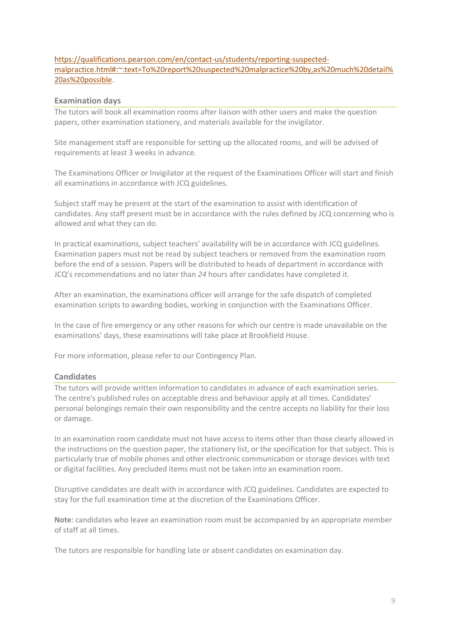### [https://qualifications.pearson.com/en/contact-us/students/reporting-suspected](https://qualifications.pearson.com/en/contact-us/students/reporting-suspected-malpractice.html#:~:text=To%20report%20suspected%20malpractice%20by,as%20much%20detail%20as%20possible)[malpractice.html#:~:text=To%20report%20suspected%20malpractice%20by,as%20much%20detail%](https://qualifications.pearson.com/en/contact-us/students/reporting-suspected-malpractice.html#:~:text=To%20report%20suspected%20malpractice%20by,as%20much%20detail%20as%20possible) [20as%20possible.](https://qualifications.pearson.com/en/contact-us/students/reporting-suspected-malpractice.html#:~:text=To%20report%20suspected%20malpractice%20by,as%20much%20detail%20as%20possible)

### **Examination days**

The tutors will book all examination rooms after liaison with other users and make the question papers, other examination stationery, and materials available for the invigilator.

Site management staff are responsible for setting up the allocated rooms, and will be advised of requirements at least 3 weeks in advance.

The Examinations Officer or Invigilator at the request of the Examinations Officer will start and finish all examinations in accordance with JCQ guidelines.

Subject staff may be present at the start of the examination to assist with identification of candidates. Any staff present must be in accordance with the rules defined by JCQ concerning who is allowed and what they can do.

In practical examinations, subject teachers' availability will be in accordance with JCQ guidelines. Examination papers must not be read by subject teachers or removed from the examination room before the end of a session. Papers will be distributed to heads of department in accordance with JCQ's recommendations and no later than *24* hours after candidates have completed it.

After an examination, the examinations officer will arrange for the safe dispatch of completed examination scripts to awarding bodies, working in conjunction with the Examinations Officer.

In the case of fire emergency or any other reasons for which our centre is made unavailable on the examinations' days, these examinations will take place at Brookfield House.

For more information, please refer to our Contingency Plan.

#### **Candidates**

The tutors will provide written information to candidates in advance of each examination series. The centre's published rules on acceptable dress and behaviour apply at all times. Candidates' personal belongings remain their own responsibility and the centre accepts no liability for their loss or damage.

In an examination room candidate must not have access to items other than those clearly allowed in the instructions on the question paper, the stationery list, or the specification for that subject. This is particularly true of mobile phones and other electronic communication or storage devices with text or digital facilities. Any precluded items must not be taken into an examination room.

Disruptive candidates are dealt with in accordance with JCQ guidelines. Candidates are expected to stay for the full examination time at the discretion of the Examinations Officer.

**Note**: candidates who leave an examination room must be accompanied by an appropriate member of staff at all times.

The tutors are responsible for handling late or absent candidates on examination day.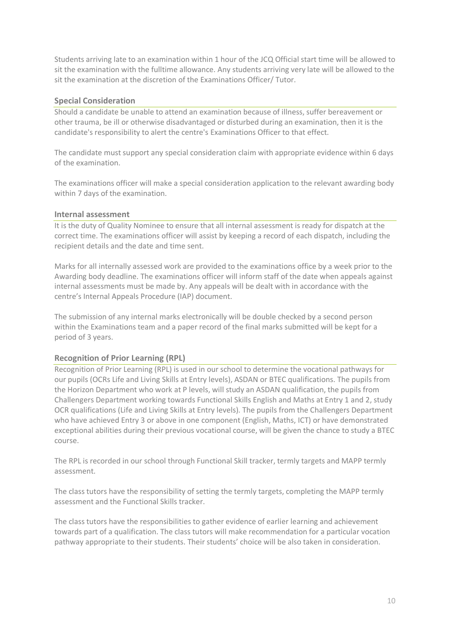Students arriving late to an examination within 1 hour of the JCQ Official start time will be allowed to sit the examination with the fulltime allowance. Any students arriving very late will be allowed to the sit the examination at the discretion of the Examinations Officer/ Tutor.

### **Special Consideration**

Should a candidate be unable to attend an examination because of illness, suffer bereavement or other trauma, be ill or otherwise disadvantaged or disturbed during an examination, then it is the candidate's responsibility to alert the centre's Examinations Officer to that effect.

The candidate must support any special consideration claim with appropriate evidence within 6 days of the examination.

The examinations officer will make a special consideration application to the relevant awarding body within 7 days of the examination.

### **Internal assessment**

It is the duty of Quality Nominee to ensure that all internal assessment is ready for dispatch at the correct time. The examinations officer will assist by keeping a record of each dispatch, including the recipient details and the date and time sent.

Marks for all internally assessed work are provided to the examinations office by a week prior to the Awarding body deadline. The examinations officer will inform staff of the date when appeals against internal assessments must be made by. Any appeals will be dealt with in accordance with the centre's Internal Appeals Procedure (IAP) document.

The submission of any internal marks electronically will be double checked by a second person within the Examinations team and a paper record of the final marks submitted will be kept for a period of 3 years.

### **Recognition of Prior Learning (RPL)**

Recognition of Prior Learning (RPL) is used in our school to determine the vocational pathways for our pupils (OCRs Life and Living Skills at Entry levels), ASDAN or BTEC qualifications. The pupils from the Horizon Department who work at P levels, will study an ASDAN qualification, the pupils from Challengers Department working towards Functional Skills English and Maths at Entry 1 and 2, study OCR qualifications (Life and Living Skills at Entry levels). The pupils from the Challengers Department who have achieved Entry 3 or above in one component (English, Maths, ICT) or have demonstrated exceptional abilities during their previous vocational course, will be given the chance to study a BTEC course.

The RPL is recorded in our school through Functional Skill tracker, termly targets and MAPP termly assessment.

The class tutors have the responsibility of setting the termly targets, completing the MAPP termly assessment and the Functional Skills tracker.

The class tutors have the responsibilities to gather evidence of earlier learning and achievement towards part of a qualification. The class tutors will make recommendation for a particular vocation pathway appropriate to their students. Their students' choice will be also taken in consideration.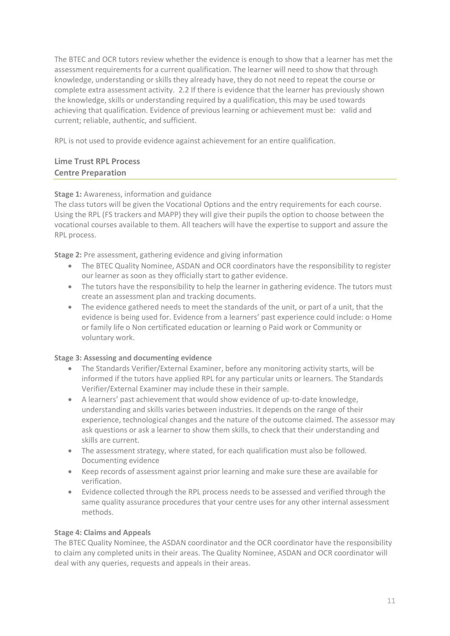The BTEC and OCR tutors review whether the evidence is enough to show that a learner has met the assessment requirements for a current qualification. The learner will need to show that through knowledge, understanding or skills they already have, they do not need to repeat the course or complete extra assessment activity. 2.2 If there is evidence that the learner has previously shown the knowledge, skills or understanding required by a qualification, this may be used towards achieving that qualification. Evidence of previous learning or achievement must be: valid and current; reliable, authentic, and sufficient.

RPL is not used to provide evidence against achievement for an entire qualification.

# **Lime Trust RPL Process Centre Preparation**

### **Stage 1:** Awareness, information and guidance

The class tutors will be given the Vocational Options and the entry requirements for each course. Using the RPL (FS trackers and MAPP) they will give their pupils the option to choose between the vocational courses available to them. All teachers will have the expertise to support and assure the RPL process.

**Stage 2:** Pre assessment, gathering evidence and giving information

- The BTEC Quality Nominee, ASDAN and OCR coordinators have the responsibility to register our learner as soon as they officially start to gather evidence.
- The tutors have the responsibility to help the learner in gathering evidence. The tutors must create an assessment plan and tracking documents.
- The evidence gathered needs to meet the standards of the unit, or part of a unit, that the evidence is being used for. Evidence from a learners' past experience could include: o Home or family life o Non certificated education or learning o Paid work or Community or voluntary work.

### **Stage 3: Assessing and documenting evidence**

- The Standards Verifier/External Examiner, before any monitoring activity starts, will be informed if the tutors have applied RPL for any particular units or learners. The Standards Verifier/External Examiner may include these in their sample.
- A learners' past achievement that would show evidence of up-to-date knowledge, understanding and skills varies between industries. It depends on the range of their experience, technological changes and the nature of the outcome claimed. The assessor may ask questions or ask a learner to show them skills, to check that their understanding and skills are current.
- The assessment strategy, where stated, for each qualification must also be followed. Documenting evidence
- Keep records of assessment against prior learning and make sure these are available for verification.
- Evidence collected through the RPL process needs to be assessed and verified through the same quality assurance procedures that your centre uses for any other internal assessment methods.

### **Stage 4: Claims and Appeals**

The BTEC Quality Nominee, the ASDAN coordinator and the OCR coordinator have the responsibility to claim any completed units in their areas. The Quality Nominee, ASDAN and OCR coordinator will deal with any queries, requests and appeals in their areas.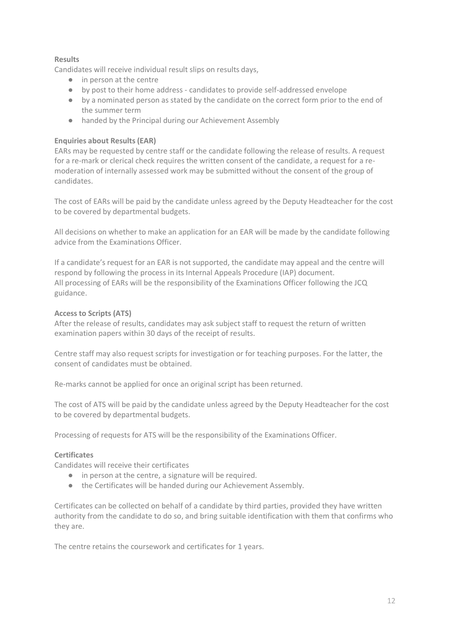### **Results**

Candidates will receive individual result slips on results days,

- in person at the centre
- by post to their home address candidates to provide self-addressed envelope
- by a nominated person as stated by the candidate on the correct form prior to the end of the summer term
- handed by the Principal during our Achievement Assembly

### **Enquiries about Results (EAR)**

EARs may be requested by centre staff or the candidate following the release of results. A request for a re-mark or clerical check requires the written consent of the candidate, a request for a remoderation of internally assessed work may be submitted without the consent of the group of candidates.

The cost of EARs will be paid by the candidate unless agreed by the Deputy Headteacher for the cost to be covered by departmental budgets.

All decisions on whether to make an application for an EAR will be made by the candidate following advice from the Examinations Officer.

If a candidate's request for an EAR is not supported, the candidate may appeal and the centre will respond by following the process in its Internal Appeals Procedure (IAP) document. All processing of EARs will be the responsibility of the Examinations Officer following the JCQ guidance.

### **Access to Scripts (ATS)**

After the release of results, candidates may ask subject staff to request the return of written examination papers within 30 days of the receipt of results.

Centre staff may also request scripts for investigation or for teaching purposes. For the latter, the consent of candidates must be obtained.

Re-marks cannot be applied for once an original script has been returned.

The cost of ATS will be paid by the candidate unless agreed by the Deputy Headteacher for the cost to be covered by departmental budgets.

Processing of requests for ATS will be the responsibility of the Examinations Officer.

### **Certificates**

Candidates will receive their certificates

- in person at the centre, a signature will be required.
- the Certificates will be handed during our Achievement Assembly.

Certificates can be collected on behalf of a candidate by third parties, provided they have written authority from the candidate to do so, and bring suitable identification with them that confirms who they are.

The centre retains the coursework and certificates for 1 years.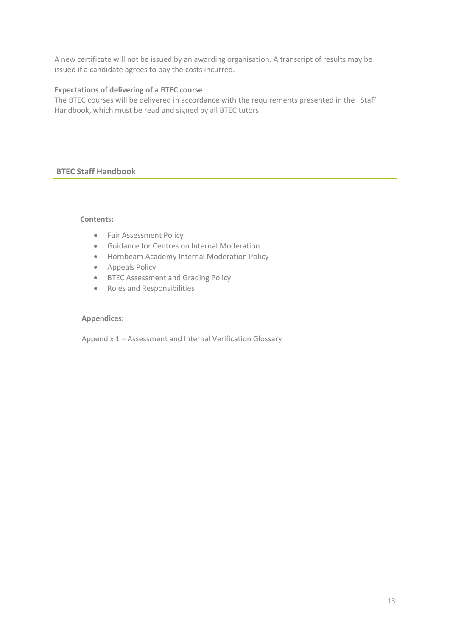A new certificate will not be issued by an awarding organisation. A transcript of results may be issued if a candidate agrees to pay the costs incurred.

### **Expectations of delivering of a BTEC course**

The BTEC courses will be delivered in accordance with the requirements presented in the Staff Handbook, which must be read and signed by all BTEC tutors.

# **BTEC Staff Handbook**

### **Contents:**

- **•** Fair Assessment Policy
- Guidance for Centres on Internal Moderation
- Hornbeam Academy Internal Moderation Policy
- Appeals Policy
- BTEC Assessment and Grading Policy
- Roles and Responsibilities

#### **Appendices:**

Appendix 1 – Assessment and Internal Verification Glossary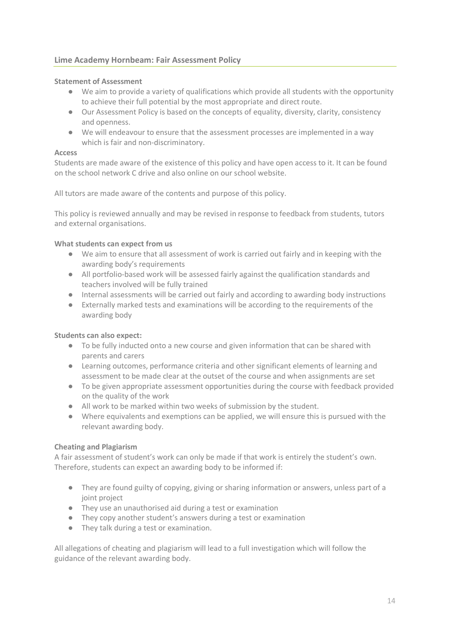# **Lime Academy Hornbeam: Fair Assessment Policy**

#### **Statement of Assessment**

- We aim to provide a variety of qualifications which provide all students with the opportunity to achieve their full potential by the most appropriate and direct route.
- Our Assessment Policy is based on the concepts of equality, diversity, clarity, consistency and openness.
- We will endeavour to ensure that the assessment processes are implemented in a way which is fair and non-discriminatory.

#### **Access**

Students are made aware of the existence of this policy and have open access to it. It can be found on the school network C drive and also online on our school website.

All tutors are made aware of the contents and purpose of this policy.

This policy is reviewed annually and may be revised in response to feedback from students, tutors and external organisations.

#### **What students can expect from us**

- We aim to ensure that all assessment of work is carried out fairly and in keeping with the awarding body's requirements
- All portfolio-based work will be assessed fairly against the qualification standards and teachers involved will be fully trained
- Internal assessments will be carried out fairly and according to awarding body instructions
- Externally marked tests and examinations will be according to the requirements of the awarding body

#### **Students can also expect:**

- To be fully inducted onto a new course and given information that can be shared with parents and carers
- Learning outcomes, performance criteria and other significant elements of learning and assessment to be made clear at the outset of the course and when assignments are set
- To be given appropriate assessment opportunities during the course with feedback provided on the quality of the work
- All work to be marked within two weeks of submission by the student.
- Where equivalents and exemptions can be applied, we will ensure this is pursued with the relevant awarding body.

### **Cheating and Plagiarism**

A fair assessment of student's work can only be made if that work is entirely the student's own. Therefore, students can expect an awarding body to be informed if:

- They are found guilty of copying, giving or sharing information or answers, unless part of a joint project
- They use an unauthorised aid during a test or examination
- They copy another student's answers during a test or examination
- They talk during a test or examination.

All allegations of cheating and plagiarism will lead to a full investigation which will follow the guidance of the relevant awarding body.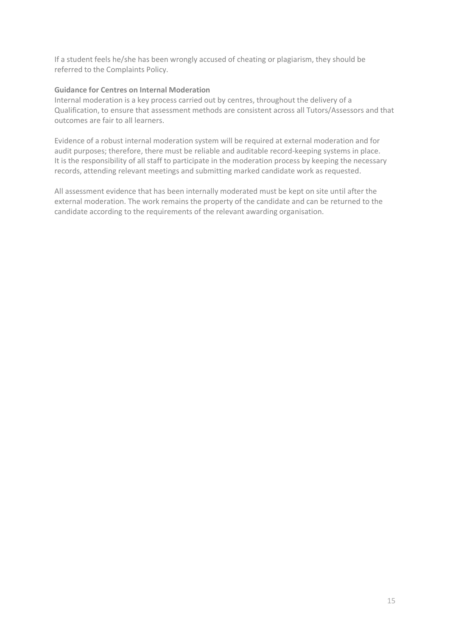If a student feels he/she has been wrongly accused of cheating or plagiarism, they should be referred to the Complaints Policy.

### **Guidance for Centres on Internal Moderation**

Internal moderation is a key process carried out by centres, throughout the delivery of a Qualification, to ensure that assessment methods are consistent across all Tutors/Assessors and that outcomes are fair to all learners.

Evidence of a robust internal moderation system will be required at external moderation and for audit purposes; therefore, there must be reliable and auditable record-keeping systems in place. It is the responsibility of all staff to participate in the moderation process by keeping the necessary records, attending relevant meetings and submitting marked candidate work as requested.

All assessment evidence that has been internally moderated must be kept on site until after the external moderation. The work remains the property of the candidate and can be returned to the candidate according to the requirements of the relevant awarding organisation.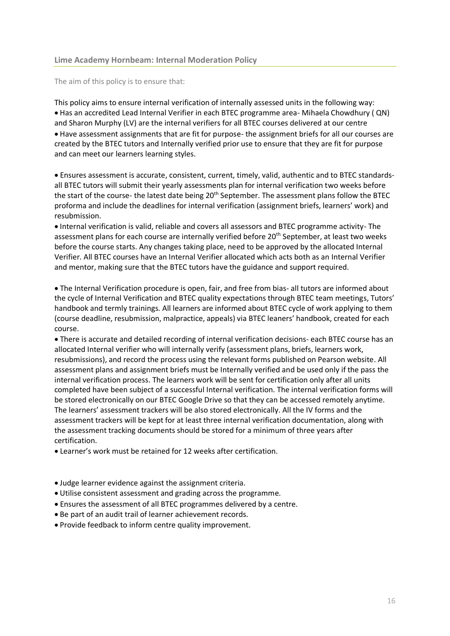#### **Lime Academy Hornbeam: Internal Moderation Policy**

The aim of this policy is to ensure that:

This policy aims to ensure internal verification of internally assessed units in the following way: Has an accredited Lead Internal Verifier in each BTEC programme area- Mihaela Chowdhury ( QN) and Sharon Murphy (LV) are the internal verifiers for all BTEC courses delivered at our centre Have assessment assignments that are fit for purpose- the assignment briefs for all our courses are created by the BTEC tutors and Internally verified prior use to ensure that they are fit for purpose and can meet our learners learning styles.

 Ensures assessment is accurate, consistent, current, timely, valid, authentic and to BTEC standardsall BTEC tutors will submit their yearly assessments plan for internal verification two weeks before the start of the course- the latest date being 20<sup>th</sup> September. The assessment plans follow the BTEC proforma and include the deadlines for internal verification (assignment briefs, learners' work) and resubmission.

 Internal verification is valid, reliable and covers all assessors and BTEC programme activity- The assessment plans for each course are internally verified before 20<sup>th</sup> September, at least two weeks before the course starts. Any changes taking place, need to be approved by the allocated Internal Verifier. All BTEC courses have an Internal Verifier allocated which acts both as an Internal Verifier and mentor, making sure that the BTEC tutors have the guidance and support required.

 The Internal Verification procedure is open, fair, and free from bias- all tutors are informed about the cycle of Internal Verification and BTEC quality expectations through BTEC team meetings, Tutors' handbook and termly trainings. All learners are informed about BTEC cycle of work applying to them (course deadline, resubmission, malpractice, appeals) via BTEC leaners' handbook, created for each course.

 There is accurate and detailed recording of internal verification decisions- each BTEC course has an allocated Internal verifier who will internally verify (assessment plans, briefs, learners work, resubmissions), and record the process using the relevant forms published on Pearson website. All assessment plans and assignment briefs must be Internally verified and be used only if the pass the internal verification process. The learners work will be sent for certification only after all units completed have been subject of a successful Internal verification. The internal verification forms will be stored electronically on our BTEC Google Drive so that they can be accessed remotely anytime. The learners' assessment trackers will be also stored electronically. All the IV forms and the assessment trackers will be kept for at least three internal verification documentation, along with the assessment tracking documents should be stored for a minimum of three years after certification.

Learner's work must be retained for 12 weeks after certification.

- Judge learner evidence against the assignment criteria.
- Utilise consistent assessment and grading across the programme.
- Ensures the assessment of all BTEC programmes delivered by a centre.
- Be part of an audit trail of learner achievement records.
- Provide feedback to inform centre quality improvement.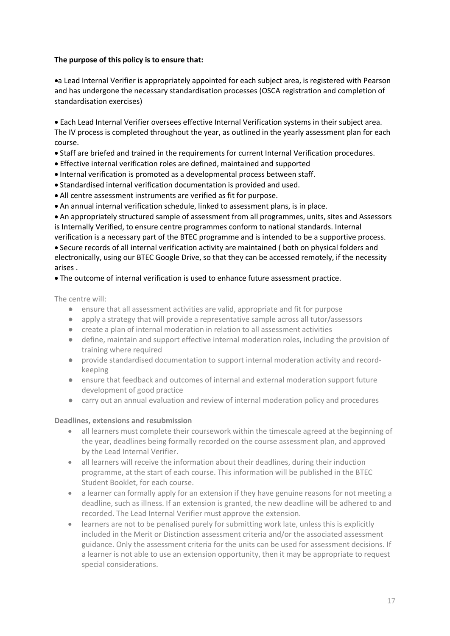### **The purpose of this policy is to ensure that:**

a Lead Internal Verifier is appropriately appointed for each subject area, is registered with Pearson and has undergone the necessary standardisation processes (OSCA registration and completion of standardisation exercises)

 Each Lead Internal Verifier oversees effective Internal Verification systems in their subject area. The IV process is completed throughout the year, as outlined in the yearly assessment plan for each course.

- Staff are briefed and trained in the requirements for current Internal Verification procedures.
- Effective internal verification roles are defined, maintained and supported
- Internal verification is promoted as a developmental process between staff.
- Standardised internal verification documentation is provided and used.
- All centre assessment instruments are verified as fit for purpose.
- An annual internal verification schedule, linked to assessment plans, is in place.

 An appropriately structured sample of assessment from all programmes, units, sites and Assessors is Internally Verified, to ensure centre programmes conform to national standards. Internal verification is a necessary part of the BTEC programme and is intended to be a supportive process.

 Secure records of all internal verification activity are maintained ( both on physical folders and electronically, using our BTEC Google Drive, so that they can be accessed remotely, if the necessity arises .

### The outcome of internal verification is used to enhance future assessment practice.

The centre will:

- ensure that all assessment activities are valid, appropriate and fit for purpose
- apply a strategy that will provide a representative sample across all tutor/assessors
- create a plan of internal moderation in relation to all assessment activities
- define, maintain and support effective internal moderation roles, including the provision of training where required
- provide standardised documentation to support internal moderation activity and recordkeeping
- ensure that feedback and outcomes of internal and external moderation support future development of good practice
- carry out an annual evaluation and review of internal moderation policy and procedures

#### **Deadlines, extensions and resubmission**

- all learners must complete their coursework within the timescale agreed at the beginning of the year, deadlines being formally recorded on the course assessment plan, and approved by the Lead Internal Verifier.
- all learners will receive the information about their deadlines, during their induction programme, at the start of each course. This information will be published in the BTEC Student Booklet, for each course.
- a learner can formally apply for an extension if they have genuine reasons for not meeting a deadline, such as illness. If an extension is granted, the new deadline will be adhered to and recorded. The Lead Internal Verifier must approve the extension.
- learners are not to be penalised purely for submitting work late, unless this is explicitly included in the Merit or Distinction assessment criteria and/or the associated assessment guidance. Only the assessment criteria for the units can be used for assessment decisions. If a learner is not able to use an extension opportunity, then it may be appropriate to request special considerations.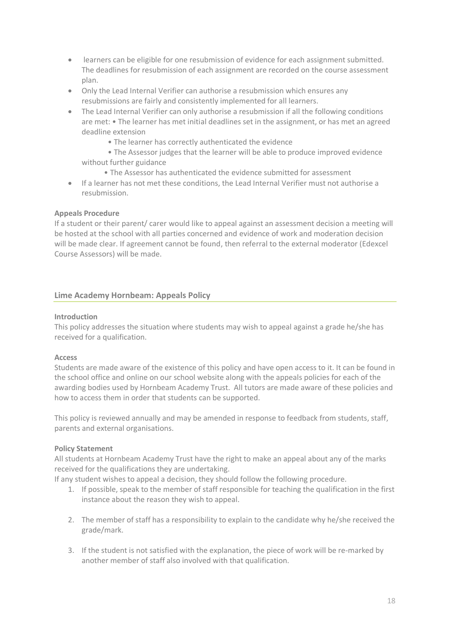- learners can be eligible for one resubmission of evidence for each assignment submitted. The deadlines for resubmission of each assignment are recorded on the course assessment plan.
- Only the Lead Internal Verifier can authorise a resubmission which ensures any resubmissions are fairly and consistently implemented for all learners.
- The Lead Internal Verifier can only authorise a resubmission if all the following conditions are met: • The learner has met initial deadlines set in the assignment, or has met an agreed deadline extension
	- The learner has correctly authenticated the evidence

 • The Assessor judges that the learner will be able to produce improved evidence without further guidance

- The Assessor has authenticated the evidence submitted for assessment
- If a learner has not met these conditions, the Lead Internal Verifier must not authorise a resubmission.

#### **Appeals Procedure**

If a student or their parent/ carer would like to appeal against an assessment decision a meeting will be hosted at the school with all parties concerned and evidence of work and moderation decision will be made clear. If agreement cannot be found, then referral to the external moderator (Edexcel Course Assessors) will be made.

#### **Lime Academy Hornbeam: Appeals Policy**

#### **Introduction**

This policy addresses the situation where students may wish to appeal against a grade he/she has received for a qualification.

### **Access**

Students are made aware of the existence of this policy and have open access to it. It can be found in the school office and online on our school website along with the appeals policies for each of the awarding bodies used by Hornbeam Academy Trust. All tutors are made aware of these policies and how to access them in order that students can be supported.

This policy is reviewed annually and may be amended in response to feedback from students, staff, parents and external organisations.

#### **Policy Statement**

All students at Hornbeam Academy Trust have the right to make an appeal about any of the marks received for the qualifications they are undertaking.

If any student wishes to appeal a decision, they should follow the following procedure.

- 1. If possible, speak to the member of staff responsible for teaching the qualification in the first instance about the reason they wish to appeal.
- 2. The member of staff has a responsibility to explain to the candidate why he/she received the grade/mark.
- 3. If the student is not satisfied with the explanation, the piece of work will be re-marked by another member of staff also involved with that qualification.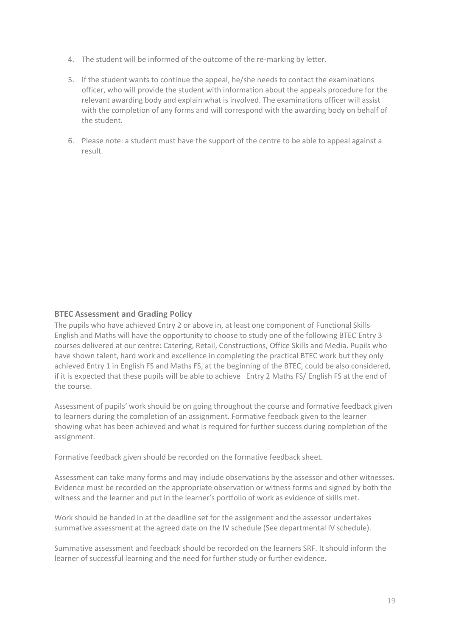- 4. The student will be informed of the outcome of the re-marking by letter.
- 5. If the student wants to continue the appeal, he/she needs to contact the examinations officer, who will provide the student with information about the appeals procedure for the relevant awarding body and explain what is involved. The examinations officer will assist with the completion of any forms and will correspond with the awarding body on behalf of the student.
- 6. Please note: a student must have the support of the centre to be able to appeal against a result.

### **BTEC Assessment and Grading Policy**

The pupils who have achieved Entry 2 or above in, at least one component of Functional Skills English and Maths will have the opportunity to choose to study one of the following BTEC Entry 3 courses delivered at our centre: Catering, Retail, Constructions, Office Skills and Media. Pupils who have shown talent, hard work and excellence in completing the practical BTEC work but they only achieved Entry 1 in English FS and Maths FS, at the beginning of the BTEC, could be also considered, if it is expected that these pupils will be able to achieve Entry 2 Maths FS/ English FS at the end of the course.

Assessment of pupils' work should be on going throughout the course and formative feedback given to learners during the completion of an assignment. Formative feedback given to the learner showing what has been achieved and what is required for further success during completion of the assignment.

Formative feedback given should be recorded on the formative feedback sheet.

Assessment can take many forms and may include observations by the assessor and other witnesses. Evidence must be recorded on the appropriate observation or witness forms and signed by both the witness and the learner and put in the learner's portfolio of work as evidence of skills met.

Work should be handed in at the deadline set for the assignment and the assessor undertakes summative assessment at the agreed date on the IV schedule (See departmental IV schedule).

Summative assessment and feedback should be recorded on the learners SRF. It should inform the learner of successful learning and the need for further study or further evidence.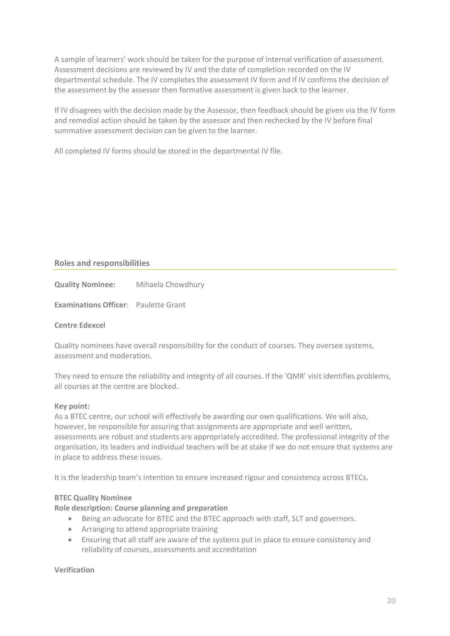A sample of learners' work should be taken for the purpose of internal verification of assessment. Assessment decisions are reviewed by IV and the date of completion recorded on the IV departmental schedule. The IV completes the assessment IV form and if IV confirms the decision of the assessment by the assessor then formative assessment is given back to the learner.

If IV disagrees with the decision made by the Assessor, then feedback should be given via the IV form and remedial action should be taken by the assessor and then rechecked by the IV before final summative assessment decision can be given to the learner.

All completed IV forms should be stored in the departmental IV file.

### **Roles and responsibilities**

**Quality Nominee:** Mihaela Chowdhury

**Examinations Officer**: Paulette Grant

### **Centre Edexcel**

Quality nominees have overall responsibility for the conduct of courses. They oversee systems, assessment and moderation.

They need to ensure the reliability and integrity of all courses. If the 'QMR' visit identifies problems, all courses at the centre are blocked.

### **Key point:**

As a BTEC centre, our school will effectively be awarding our own qualifications. We will also, however, be responsible for assuring that assignments are appropriate and well written, assessments are robust and students are appropriately accredited. The professional integrity of the organisation, its leaders and individual teachers will be at stake if we do not ensure that systems are in place to address these issues.

It is the leadership team's intention to ensure increased rigour and consistency across BTECs.

### **BTEC Quality Nominee**

### **Role description: Course planning and preparation**

- Being an advocate for BTEC and the BTEC approach with staff, SLT and governors.
- Arranging to attend appropriate training
- Ensuring that all staff are aware of the systems put in place to ensure consistency and reliability of courses, assessments and accreditation

#### **Verification**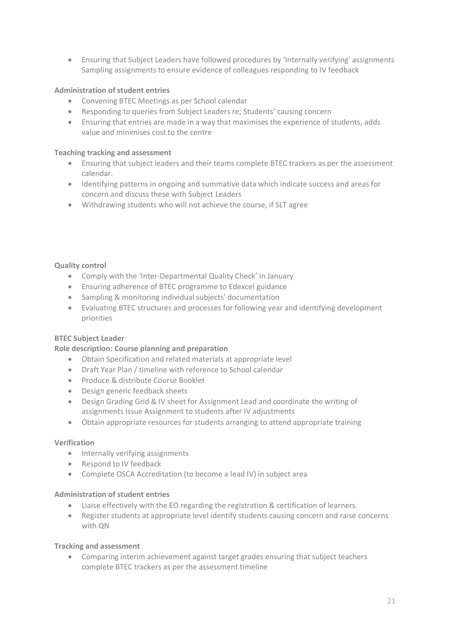Ensuring that Subject Leaders have followed procedures by 'Internally verifying' assignments Sampling assignments to ensure evidence of colleagues responding to IV feedback

### **Administration of student entries**

- Convening BTEC Meetings as per School calendar
- Responding to queries from Subject Leaders re; Students' causing concern
- Ensuring that entries are made in a way that maximises the experience of students, adds value and minimises cost to the centre

#### **Teaching tracking and assessment**

- Ensuring that subject leaders and their teams complete BTEC trackers as per the assessment calendar.
- Identifying patterns in ongoing and summative data which indicate success and areas for concern and discuss these with Subject Leaders
- Withdrawing students who will not achieve the course, if SLT agree

#### **Quality control**

- Comply with the 'Inter-Departmental Quality Check' in January
- Ensuring adherence of BTEC programme to Edexcel guidance
- Sampling & monitoring individual subjects' documentation
- Evaluating BTEC structures and processes for following year and identifying development priorities

### **BTEC Subject Leader**

### **Role description: Course planning and preparation**

- Obtain Specification and related materials at appropriate level
- Draft Year Plan / timeline with reference to School calendar
- Produce & distribute Course Booklet
- Design generic feedback sheets
- Design Grading Grid & IV sheet for Assignment Lead and coordinate the writing of assignments Issue Assignment to students after IV adjustments
- Obtain appropriate resources for students arranging to attend appropriate training

#### **Verification**

- Internally verifying assignments
- Respond to IV feedback
- Complete OSCA Accreditation (to become a lead IV) in subject area

#### **Administration of student entries**

- Liaise effectively with the EO regarding the registration & certification of learners.
- Register students at appropriate level identify students causing concern and raise concerns with QN

#### **Tracking and assessment**

 Comparing interim achievement against target grades ensuring that subject teachers complete BTEC trackers as per the assessment timeline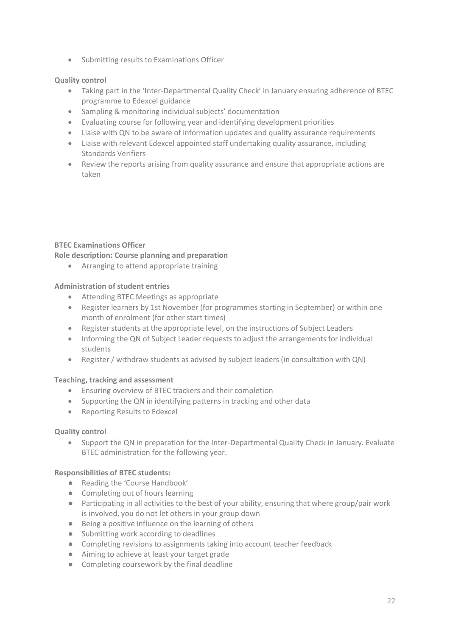• Submitting results to Examinations Officer

### **Quality control**

- Taking part in the 'Inter-Departmental Quality Check' in January ensuring adherence of BTEC programme to Edexcel guidance
- Sampling & monitoring individual subjects' documentation
- Evaluating course for following year and identifying development priorities
- Liaise with QN to be aware of information updates and quality assurance requirements
- Liaise with relevant Edexcel appointed staff undertaking quality assurance, including Standards Verifiers
- Review the reports arising from quality assurance and ensure that appropriate actions are taken

### **BTEC Examinations Officer**

### **Role description: Course planning and preparation**

Arranging to attend appropriate training

### **Administration of student entries**

- Attending BTEC Meetings as appropriate
- Register learners by 1st November (for programmes starting in September) or within one month of enrolment (for other start times)
- Register students at the appropriate level, on the instructions of Subject Leaders
- Informing the QN of Subject Leader requests to adjust the arrangements for individual students
- Register / withdraw students as advised by subject leaders (in consultation with QN)

### **Teaching, tracking and assessment**

- Ensuring overview of BTEC trackers and their completion
- Supporting the QN in identifying patterns in tracking and other data
- Reporting Results to Edexcel

### **Quality control**

 Support the QN in preparation for the Inter-Departmental Quality Check in January. Evaluate BTEC administration for the following year.

### **Responsibilities of BTEC students:**

- Reading the 'Course Handbook'
- Completing out of hours learning
- Participating in all activities to the best of your ability, ensuring that where group/pair work is involved, you do not let others in your group down
- Being a positive influence on the learning of others
- Submitting work according to deadlines
- Completing revisions to assignments taking into account teacher feedback
- Aiming to achieve at least your target grade
- Completing coursework by the final deadline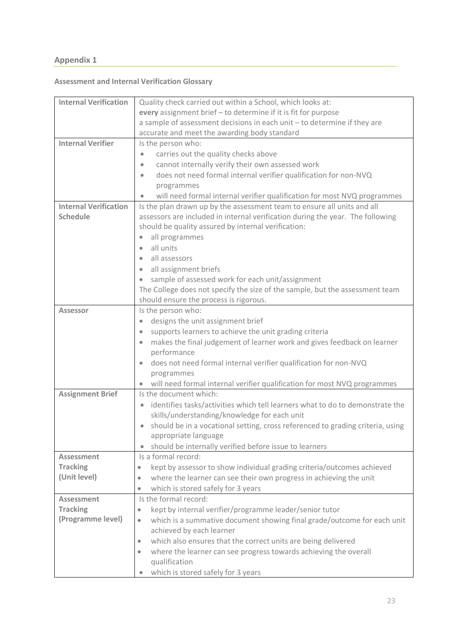# **Appendix 1**

# **Assessment and Internal Verification Glossary**

| <b>Internal Verification</b> | Quality check carried out within a School, which looks at:                                 |  |  |
|------------------------------|--------------------------------------------------------------------------------------------|--|--|
|                              | every assignment brief - to determine if it is fit for purpose                             |  |  |
|                              | a sample of assessment decisions in each unit - to determine if they are                   |  |  |
|                              | accurate and meet the awarding body standard                                               |  |  |
| <b>Internal Verifier</b>     | Is the person who:                                                                         |  |  |
|                              | carries out the quality checks above                                                       |  |  |
|                              | cannot internally verify their own assessed work<br>$\bullet$                              |  |  |
|                              | does not need formal internal verifier qualification for non-NVQ<br>$\bullet$              |  |  |
|                              | programmes                                                                                 |  |  |
|                              | will need formal internal verifier qualification for most NVQ programmes                   |  |  |
| <b>Internal Verification</b> | Is the plan drawn up by the assessment team to ensure all units and all                    |  |  |
| <b>Schedule</b>              | assessors are included in internal verification during the year. The following             |  |  |
|                              | should be quality assured by internal verification:                                        |  |  |
|                              | all programmes<br>$\bullet$                                                                |  |  |
|                              | all units<br>$\bullet$                                                                     |  |  |
|                              | all assessors<br>$\bullet$                                                                 |  |  |
|                              | all assignment briefs<br>$\bullet$                                                         |  |  |
|                              | sample of assessed work for each unit/assignment<br>$\bullet$                              |  |  |
|                              | The College does not specify the size of the sample, but the assessment team               |  |  |
|                              | should ensure the process is rigorous.                                                     |  |  |
| <b>Assessor</b>              | Is the person who:                                                                         |  |  |
|                              | designs the unit assignment brief<br>$\bullet$                                             |  |  |
|                              | supports learners to achieve the unit grading criteria<br>$\bullet$                        |  |  |
|                              | makes the final judgement of learner work and gives feedback on learner<br>$\bullet$       |  |  |
|                              | performance                                                                                |  |  |
|                              | does not need formal internal verifier qualification for non-NVQ<br>$\bullet$              |  |  |
|                              | programmes                                                                                 |  |  |
|                              | will need formal internal verifier qualification for most NVQ programmes                   |  |  |
| <b>Assignment Brief</b>      | Is the document which:                                                                     |  |  |
|                              | identifies tasks/activities which tell learners what to do to demonstrate the<br>$\bullet$ |  |  |
|                              | skills/understanding/knowledge for each unit                                               |  |  |
|                              | should be in a vocational setting, cross referenced to grading criteria, using             |  |  |
|                              | appropriate language                                                                       |  |  |
|                              | should be internally verified before issue to learners                                     |  |  |
| Assessment                   | Is a formal record:                                                                        |  |  |
| <b>Tracking</b>              | kept by assessor to show individual grading criteria/outcomes achieved<br>$\bullet$        |  |  |
| (Unit level)                 | where the learner can see their own progress in achieving the unit<br>۰                    |  |  |
|                              | which is stored safely for 3 years<br>۰                                                    |  |  |
| Assessment                   | Is the formal record:                                                                      |  |  |
| <b>Tracking</b>              | kept by internal verifier/programme leader/senior tutor<br>۰                               |  |  |
| (Programme level)            | which is a summative document showing final grade/outcome for each unit<br>۰               |  |  |
|                              | achieved by each learner                                                                   |  |  |
|                              | which also ensures that the correct units are being delivered<br>۰                         |  |  |
|                              | where the learner can see progress towards achieving the overall                           |  |  |
|                              | qualification                                                                              |  |  |
|                              | which is stored safely for 3 years<br>$\bullet$                                            |  |  |